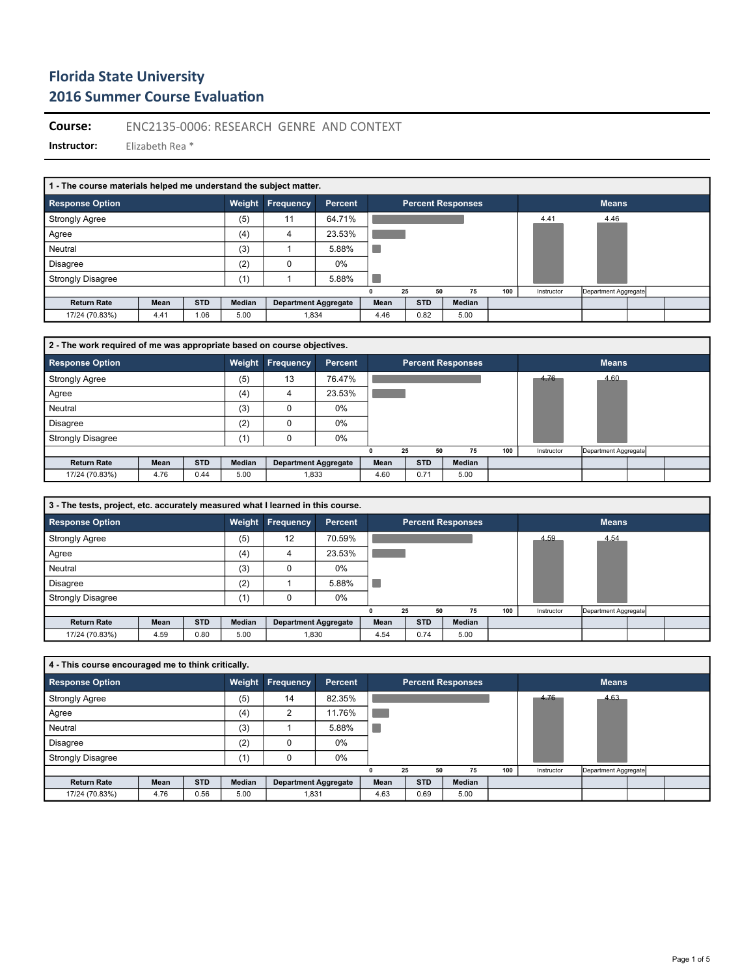**Course:** ENC2135-0006: RESEARCH GENRE AND CONTEXT

| 1 - The course materials helped me understand the subject matter. |      |            |        |                             |         |      |            |    |                          |     |            |                      |  |
|-------------------------------------------------------------------|------|------------|--------|-----------------------------|---------|------|------------|----|--------------------------|-----|------------|----------------------|--|
| <b>Response Option</b>                                            |      |            | Weight | <b>Frequency</b>            | Percent |      |            |    | <b>Percent Responses</b> |     |            | <b>Means</b>         |  |
| <b>Strongly Agree</b>                                             |      |            | (5)    | 11                          | 64.71%  |      |            |    |                          |     | 4.41       | 4.46                 |  |
| Agree                                                             |      |            | (4)    | 4                           | 23.53%  |      |            |    |                          |     |            |                      |  |
| Neutral                                                           |      |            | (3)    |                             | 5.88%   |      |            |    |                          |     |            |                      |  |
| <b>Disagree</b>                                                   |      |            | (2)    |                             | $0\%$   |      |            |    |                          |     |            |                      |  |
| <b>Strongly Disagree</b>                                          |      |            | (1)    |                             | 5.88%   |      |            |    |                          |     |            |                      |  |
|                                                                   |      |            |        |                             |         | n    | 25         | 50 | 75                       | 100 | Instructor | Department Aggregate |  |
| <b>Return Rate</b>                                                | Mean | <b>STD</b> | Median | <b>Department Aggregate</b> |         | Mean | <b>STD</b> |    | Median                   |     |            |                      |  |
| 17/24 (70.83%)                                                    | 4.41 | 1.06       | 5.00   | 1,834                       |         | 4.46 | 0.82       |    | 5.00                     |     |            |                      |  |

| 2 - The work required of me was appropriate based on course objectives. |      |            |        |                             |         |      |            |    |                          |     |            |                      |  |
|-------------------------------------------------------------------------|------|------------|--------|-----------------------------|---------|------|------------|----|--------------------------|-----|------------|----------------------|--|
| <b>Response Option</b>                                                  |      |            |        | Weight Frequency            | Percent |      |            |    | <b>Percent Responses</b> |     |            | <b>Means</b>         |  |
| <b>Strongly Agree</b>                                                   |      |            | (5)    | 13                          | 76.47%  |      |            |    |                          |     | 4.76       | 4.60                 |  |
| Agree                                                                   |      |            | (4)    |                             | 23.53%  |      |            |    |                          |     |            |                      |  |
| Neutral                                                                 |      |            | (3)    | 0                           | 0%      |      |            |    |                          |     |            |                      |  |
| <b>Disagree</b>                                                         |      |            | (2)    |                             | 0%      |      |            |    |                          |     |            |                      |  |
| <b>Strongly Disagree</b>                                                |      |            | (1)    |                             | 0%      |      |            |    |                          |     |            |                      |  |
|                                                                         |      |            |        |                             |         |      | 25         | 50 | 75                       | 100 | Instructor | Department Aggregate |  |
| <b>Return Rate</b>                                                      | Mean | <b>STD</b> | Median | <b>Department Aggregate</b> |         | Mean | <b>STD</b> |    | Median                   |     |            |                      |  |
| 17/24 (70.83%)                                                          | 4.76 | 0.44       | 5.00   | 1,833                       |         | 4.60 | 0.71       |    | 5.00                     |     |            |                      |  |

| 3 - The tests, project, etc. accurately measured what I learned in this course. |      |            |        |                             |         |      |    |            |                          |     |            |                      |  |
|---------------------------------------------------------------------------------|------|------------|--------|-----------------------------|---------|------|----|------------|--------------------------|-----|------------|----------------------|--|
| <b>Response Option</b>                                                          |      |            |        | <b>Weight Frequency</b>     | Percent |      |    |            | <b>Percent Responses</b> |     |            | <b>Means</b>         |  |
| <b>Strongly Agree</b>                                                           |      |            | (5)    | 12                          | 70.59%  |      |    |            |                          |     | 4.59       | 4.54                 |  |
| Agree                                                                           |      |            | (4)    | 4                           | 23.53%  |      |    |            |                          |     |            |                      |  |
| Neutral                                                                         |      |            | (3)    | 0                           | 0%      |      |    |            |                          |     |            |                      |  |
| <b>Disagree</b>                                                                 |      |            | (2)    |                             | 5.88%   |      |    |            |                          |     |            |                      |  |
| <b>Strongly Disagree</b>                                                        |      |            | (1)    | 0                           | $0\%$   |      |    |            |                          |     |            |                      |  |
|                                                                                 |      |            |        |                             |         |      | 25 | 50         | 75                       | 100 | Instructor | Department Aggregate |  |
| <b>Return Rate</b>                                                              | Mean | <b>STD</b> | Median | <b>Department Aggregate</b> |         | Mean |    | <b>STD</b> | Median                   |     |            |                      |  |
| 17/24 (70.83%)                                                                  | 4.59 | 0.80       | 5.00   | 1,830                       |         | 4.54 |    | 0.74       | 5.00                     |     |            |                      |  |

| 4 - This course encouraged me to think critically. |      |            |               |                             |                |      |    |            |                   |     |            |                      |  |
|----------------------------------------------------|------|------------|---------------|-----------------------------|----------------|------|----|------------|-------------------|-----|------------|----------------------|--|
| <b>Response Option</b>                             |      |            |               | Weight Frequency            | <b>Percent</b> |      |    |            | Percent Responses |     |            | <b>Means</b>         |  |
| <b>Strongly Agree</b>                              |      |            | (5)           | 14                          | 82.35%         |      |    |            |                   |     | 4.76       | 4.63                 |  |
| Agree                                              |      |            | (4)           | $\overline{2}$              | 11.76%         |      |    |            |                   |     |            |                      |  |
| Neutral                                            |      |            | (3)           |                             | 5.88%          |      |    |            |                   |     |            |                      |  |
| <b>Disagree</b>                                    |      |            | (2)           |                             | 0%             |      |    |            |                   |     |            |                      |  |
| <b>Strongly Disagree</b>                           |      |            | (1)           |                             | 0%             |      |    |            |                   |     |            |                      |  |
|                                                    |      |            |               |                             |                | n    | 25 | 50         | 75                | 100 | Instructor | Department Aggregate |  |
| <b>Return Rate</b>                                 | Mean | <b>STD</b> | <b>Median</b> | <b>Department Aggregate</b> |                | Mean |    | <b>STD</b> | Median            |     |            |                      |  |
| 17/24 (70.83%)                                     | 4.76 | 0.56       | 5.00          | 1,831                       |                | 4.63 |    | 0.69       | 5.00              |     |            |                      |  |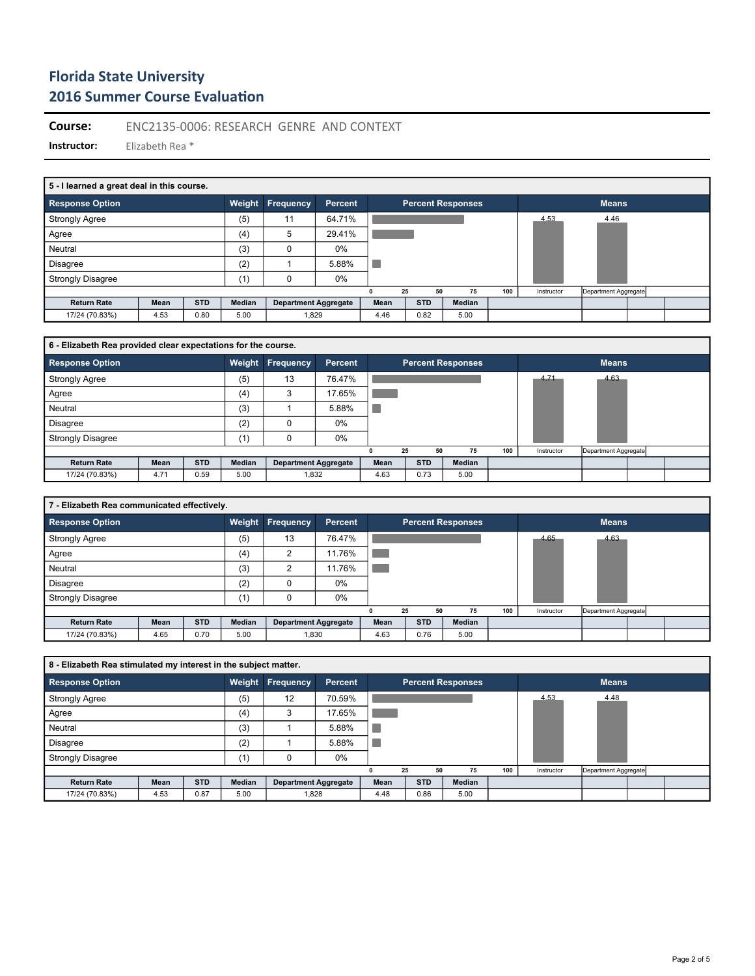**Course:** ENC2135-0006: RESEARCH GENRE AND CONTEXT

| 5 - I learned a great deal in this course. |      |            |        |                             |                |      |    |                   |    |        |     |            |                      |  |  |
|--------------------------------------------|------|------------|--------|-----------------------------|----------------|------|----|-------------------|----|--------|-----|------------|----------------------|--|--|
| <b>Response Option</b>                     |      |            | Weight | <b>Frequency</b>            | <b>Percent</b> |      |    | Percent Responses |    |        |     |            | <b>Means</b>         |  |  |
| <b>Strongly Agree</b>                      |      |            | (5)    | 11                          | 64.71%         |      |    |                   |    |        |     | 4.53       | 4.46                 |  |  |
| Agree                                      |      |            | (4)    | 5                           | 29.41%         |      |    |                   |    |        |     |            |                      |  |  |
| Neutral                                    |      |            | (3)    |                             | $0\%$          |      |    |                   |    |        |     |            |                      |  |  |
| <b>Disagree</b>                            |      |            | (2)    |                             | 5.88%          |      |    |                   |    |        |     |            |                      |  |  |
| <b>Strongly Disagree</b>                   |      |            | (1)    |                             | 0%             |      |    |                   |    |        |     |            |                      |  |  |
|                                            |      |            |        |                             |                | n    | 25 |                   | 50 | 75     | 100 | Instructor | Department Aggregate |  |  |
| <b>Return Rate</b>                         | Mean | <b>STD</b> | Median | <b>Department Aggregate</b> |                | Mean |    | <b>STD</b>        |    | Median |     |            |                      |  |  |
| 17/24 (70.83%)                             | 4.53 | 0.80       | 5.00   | 1,829                       |                | 4.46 |    | 0.82              |    | 5.00   |     |            |                      |  |  |

| 6 - Elizabeth Rea provided clear expectations for the course. |      |            |               |                             |                |      |    |            |                          |     |            |                      |  |
|---------------------------------------------------------------|------|------------|---------------|-----------------------------|----------------|------|----|------------|--------------------------|-----|------------|----------------------|--|
| <b>Response Option</b>                                        |      |            | <b>Weight</b> | <b>Frequency</b>            | <b>Percent</b> |      |    |            | <b>Percent Responses</b> |     |            | <b>Means</b>         |  |
| <b>Strongly Agree</b>                                         |      |            | (5)           | 13                          | 76.47%         |      |    |            |                          |     | 4.71       | 4.63                 |  |
| Agree                                                         |      |            | (4)           | 3                           | 17.65%         |      |    |            |                          |     |            |                      |  |
| Neutral                                                       |      |            | (3)           |                             | 5.88%          |      |    |            |                          |     |            |                      |  |
| <b>Disagree</b>                                               |      |            | (2)           |                             | $0\%$          |      |    |            |                          |     |            |                      |  |
| <b>Strongly Disagree</b>                                      |      |            | (1)           |                             | 0%             |      |    |            |                          |     |            |                      |  |
|                                                               |      |            |               |                             |                | n    | 25 | 50         | 75                       | 100 | Instructor | Department Aggregate |  |
| <b>Return Rate</b>                                            | Mean | <b>STD</b> | Median        | <b>Department Aggregate</b> |                | Mean |    | <b>STD</b> | Median                   |     |            |                      |  |
| 17/24 (70.83%)                                                | 4.71 | 0.59       | 5.00          | 1,832                       |                | 4.63 |    | 0.73       | 5.00                     |     |            |                      |  |

| 7 - Elizabeth Rea communicated effectively. |      |            |        |                             |                |      |            |                          |     |            |                      |  |
|---------------------------------------------|------|------------|--------|-----------------------------|----------------|------|------------|--------------------------|-----|------------|----------------------|--|
| <b>Response Option</b>                      |      |            | Weight | <b>Frequency</b>            | <b>Percent</b> |      |            | <b>Percent Responses</b> |     |            | <b>Means</b>         |  |
| <b>Strongly Agree</b>                       |      |            | (5)    | 13                          | 76.47%         |      |            |                          |     | 4.65       | 4.63                 |  |
| Agree                                       |      |            | (4)    | 2                           | 11.76%         |      |            |                          |     |            |                      |  |
| Neutral                                     |      |            | (3)    | c                           | 11.76%         |      |            |                          |     |            |                      |  |
| <b>Disagree</b>                             |      |            | (2)    |                             | 0%             |      |            |                          |     |            |                      |  |
| <b>Strongly Disagree</b>                    |      |            | (1)    |                             | $0\%$          |      |            |                          |     |            |                      |  |
|                                             |      |            |        |                             |                | 0    | 25         | 50<br>75                 | 100 | Instructor | Department Aggregate |  |
| <b>Return Rate</b>                          | Mean | <b>STD</b> | Median | <b>Department Aggregate</b> |                | Mean | <b>STD</b> | Median                   |     |            |                      |  |
| 17/24 (70.83%)                              | 4.65 | 0.70       | 5.00   | 1,830                       |                | 4.63 | 0.76       | 5.00                     |     |            |                      |  |

| 8 - Elizabeth Rea stimulated my interest in the subject matter. |      |            |        |                             |                |      |    |            |                          |     |            |                      |  |
|-----------------------------------------------------------------|------|------------|--------|-----------------------------|----------------|------|----|------------|--------------------------|-----|------------|----------------------|--|
| <b>Response Option</b>                                          |      |            | Weight | <b>Frequency</b>            | <b>Percent</b> |      |    |            | <b>Percent Responses</b> |     |            | <b>Means</b>         |  |
| <b>Strongly Agree</b>                                           |      |            | (5)    | 12                          | 70.59%         |      |    |            |                          |     | 4.53       | 4.48                 |  |
| Agree                                                           |      |            | (4)    | 3                           | 17.65%         |      |    |            |                          |     |            |                      |  |
| Neutral                                                         |      |            | (3)    |                             | 5.88%          |      |    |            |                          |     |            |                      |  |
| <b>Disagree</b>                                                 |      |            | (2)    |                             | 5.88%          |      |    |            |                          |     |            |                      |  |
| <b>Strongly Disagree</b>                                        |      |            | (1)    |                             | $0\%$          |      |    |            |                          |     |            |                      |  |
|                                                                 |      |            |        |                             |                |      | 25 | 50         | 75                       | 100 | Instructor | Department Aggregate |  |
| <b>Return Rate</b>                                              | Mean | <b>STD</b> | Median | <b>Department Aggregate</b> |                | Mean |    | <b>STD</b> | Median                   |     |            |                      |  |
| 17/24 (70.83%)                                                  | 4.53 | 0.87       | 5.00   | 1.828                       |                | 4.48 |    | 0.86       | 5.00                     |     |            |                      |  |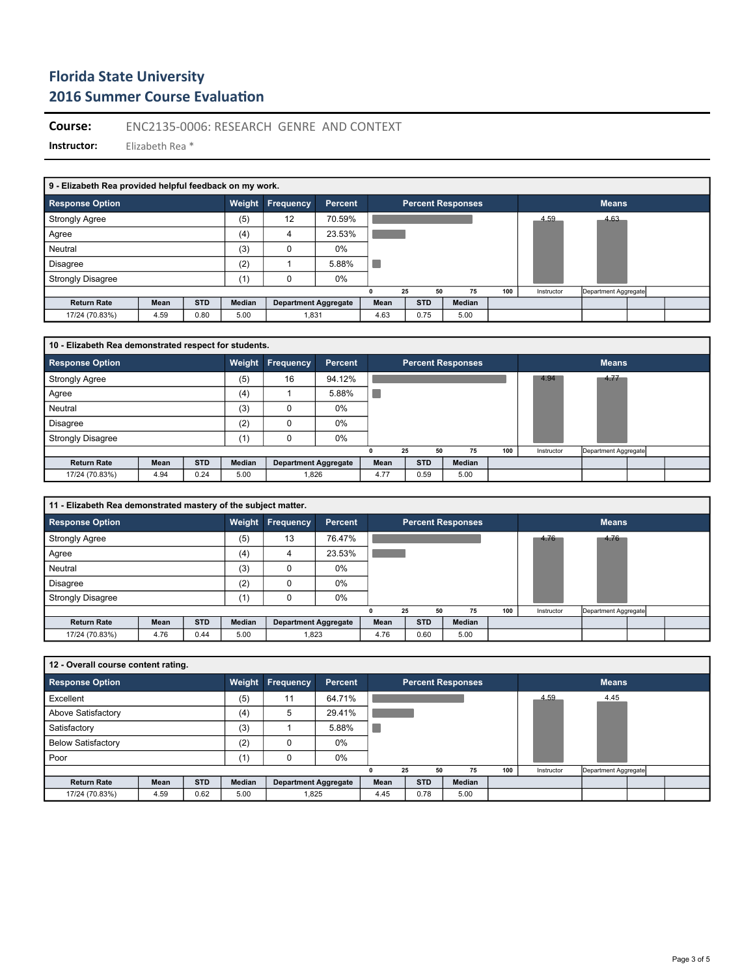**Course:** ENC2135-0006: RESEARCH GENRE AND CONTEXT

| 9 - Elizabeth Rea provided helpful feedback on my work. |      |            |        |                             |                |      |    |            |                          |     |            |                      |  |
|---------------------------------------------------------|------|------------|--------|-----------------------------|----------------|------|----|------------|--------------------------|-----|------------|----------------------|--|
| <b>Response Option</b>                                  |      |            | Weight | Frequency                   | <b>Percent</b> |      |    |            | <b>Percent Responses</b> |     |            | <b>Means</b>         |  |
| <b>Strongly Agree</b>                                   |      |            | (5)    | 12                          | 70.59%         |      |    |            |                          |     | 4.59       | 4.63                 |  |
| Agree                                                   |      |            | (4)    | 4                           | 23.53%         |      |    |            |                          |     |            |                      |  |
| Neutral                                                 |      |            | (3)    | 0                           | $0\%$          |      |    |            |                          |     |            |                      |  |
| Disagree                                                |      |            | (2)    |                             | 5.88%          |      |    |            |                          |     |            |                      |  |
| <b>Strongly Disagree</b>                                |      |            | (1)    | 0                           | 0%             |      |    |            |                          |     |            |                      |  |
|                                                         |      |            |        |                             |                |      | 25 | 50         | 75                       | 100 | Instructor | Department Aggregate |  |
| <b>Return Rate</b>                                      | Mean | <b>STD</b> | Median | <b>Department Aggregate</b> |                | Mean |    | <b>STD</b> | Median                   |     |            |                      |  |
| 17/24 (70.83%)                                          | 4.59 | 0.80       | 5.00   | 1,831                       |                | 4.63 |    | 0.75       | 5.00                     |     |            |                      |  |

| 10 - Elizabeth Rea demonstrated respect for students. |      |            |        |                             |                |      |            |                          |     |            |                      |  |
|-------------------------------------------------------|------|------------|--------|-----------------------------|----------------|------|------------|--------------------------|-----|------------|----------------------|--|
| <b>Response Option</b>                                |      |            | Weight | <b>Frequency</b>            | <b>Percent</b> |      |            | <b>Percent Responses</b> |     |            | <b>Means</b>         |  |
| <b>Strongly Agree</b>                                 |      |            | (5)    | 16                          | 94.12%         |      |            |                          |     | 4.94       | 4.77                 |  |
| Agree                                                 |      |            | (4)    |                             | 5.88%          |      |            |                          |     |            |                      |  |
| Neutral                                               |      |            | (3)    |                             | 0%             |      |            |                          |     |            |                      |  |
| <b>Disagree</b>                                       |      |            | (2)    |                             | 0%             |      |            |                          |     |            |                      |  |
| <b>Strongly Disagree</b>                              |      |            | (1)    |                             | $0\%$          |      |            |                          |     |            |                      |  |
|                                                       |      |            |        |                             |                |      | 25<br>50   | 75                       | 100 | Instructor | Department Aggregate |  |
| <b>Return Rate</b>                                    | Mean | <b>STD</b> | Median | <b>Department Aggregate</b> |                | Mean | <b>STD</b> | <b>Median</b>            |     |            |                      |  |
| 17/24 (70.83%)                                        | 4.94 | 0.24       | 5.00   | 1,826                       |                | 4.77 | 0.59       | 5.00                     |     |            |                      |  |

| 11 - Elizabeth Rea demonstrated mastery of the subject matter. |      |            |        |                             |                |      |            |    |                          |     |            |                      |  |
|----------------------------------------------------------------|------|------------|--------|-----------------------------|----------------|------|------------|----|--------------------------|-----|------------|----------------------|--|
| <b>Response Option</b>                                         |      |            | Weight | Frequency                   | <b>Percent</b> |      |            |    | <b>Percent Responses</b> |     |            | <b>Means</b>         |  |
| <b>Strongly Agree</b>                                          |      |            | (5)    | 13                          | 76.47%         |      |            |    |                          |     | 4.76       | 4.76                 |  |
| Agree                                                          |      |            | (4)    | 4                           | 23.53%         |      |            |    |                          |     |            |                      |  |
| Neutral                                                        |      |            | (3)    |                             | $0\%$          |      |            |    |                          |     |            |                      |  |
| <b>Disagree</b>                                                |      |            | (2)    |                             | 0%             |      |            |    |                          |     |            |                      |  |
| <b>Strongly Disagree</b>                                       |      |            | (1)    |                             | $0\%$          |      |            |    |                          |     |            |                      |  |
|                                                                |      |            |        |                             |                |      | 25         | 50 | 75                       | 100 | Instructor | Department Aggregate |  |
| <b>Return Rate</b>                                             | Mean | <b>STD</b> | Median | <b>Department Aggregate</b> |                | Mean | <b>STD</b> |    | <b>Median</b>            |     |            |                      |  |
| 17/24 (70.83%)                                                 | 4.76 | 0.44       | 5.00   | 1,823                       |                | 4.76 | 0.60       |    | 5.00                     |     |            |                      |  |

| 12 - Overall course content rating. |      |            |               |                             |                |      |            |    |                          |     |            |                      |  |
|-------------------------------------|------|------------|---------------|-----------------------------|----------------|------|------------|----|--------------------------|-----|------------|----------------------|--|
| <b>Response Option</b>              |      |            | Weight        | Frequency                   | <b>Percent</b> |      |            |    | <b>Percent Responses</b> |     |            | <b>Means</b>         |  |
| Excellent                           |      |            | (5)           | 11                          | 64.71%         |      |            |    |                          |     | 4.59       | 4.45                 |  |
| Above Satisfactory                  |      |            | (4)           | 5                           | 29.41%         |      |            |    |                          |     |            |                      |  |
| Satisfactory                        |      |            | (3)           |                             | 5.88%          |      |            |    |                          |     |            |                      |  |
| <b>Below Satisfactory</b>           |      |            | (2)           | O                           | 0%             |      |            |    |                          |     |            |                      |  |
| Poor                                |      |            | (1)           |                             | 0%             |      |            |    |                          |     |            |                      |  |
|                                     |      |            |               |                             |                |      | 25         | 50 | 75                       | 100 | Instructor | Department Aggregate |  |
| <b>Return Rate</b>                  | Mean | <b>STD</b> | <b>Median</b> | <b>Department Aggregate</b> |                | Mean | <b>STD</b> |    | Median                   |     |            |                      |  |
| 17/24 (70.83%)                      | 4.59 | 0.62       | 5.00          | 1.825                       |                | 4.45 | 0.78       |    | 5.00                     |     |            |                      |  |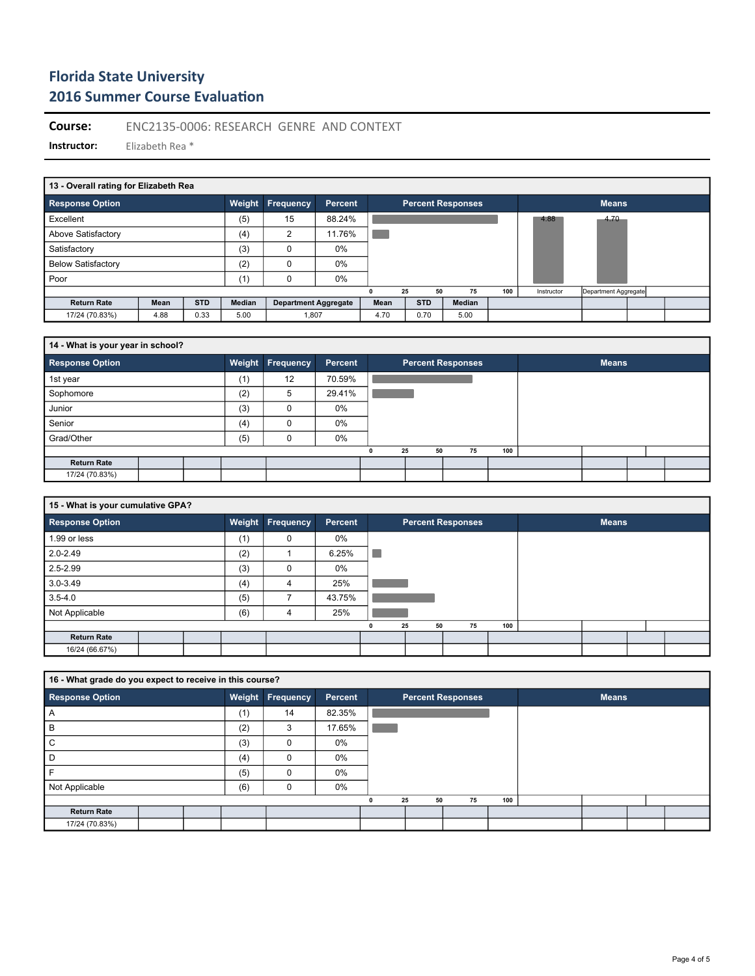**Course:** ENC2135-0006: RESEARCH GENRE AND CONTEXT

| 13 - Overall rating for Elizabeth Rea |      |            |               |                             |         |      |    |            |    |                          |     |            |                      |  |
|---------------------------------------|------|------------|---------------|-----------------------------|---------|------|----|------------|----|--------------------------|-----|------------|----------------------|--|
| <b>Response Option</b>                |      |            | Weight        | Frequency                   | Percent |      |    |            |    | <b>Percent Responses</b> |     |            | <b>Means</b>         |  |
| Excellent                             |      |            | (5)           | 15                          | 88.24%  |      |    |            |    |                          |     | 4.88       | 4.70                 |  |
| Above Satisfactory                    |      |            | (4)           | 2                           | 11.76%  |      |    |            |    |                          |     |            |                      |  |
| Satisfactory                          |      |            | (3)           | 0                           | 0%      |      |    |            |    |                          |     |            |                      |  |
| <b>Below Satisfactory</b>             |      |            | (2)           | 0                           | $0\%$   |      |    |            |    |                          |     |            |                      |  |
| Poor                                  |      |            | (1)           | 0                           | 0%      |      |    |            |    |                          |     |            |                      |  |
|                                       |      |            |               |                             |         |      | 25 |            | 50 | 75                       | 100 | Instructor | Department Aggregate |  |
| <b>Return Rate</b>                    | Mean | <b>STD</b> | <b>Median</b> | <b>Department Aggregate</b> |         | Mean |    | <b>STD</b> |    | Median                   |     |            |                      |  |
| 17/24 (70.83%)                        | 4.88 | 0.33       | 5.00          | 1,807                       |         | 4.70 |    | 0.70       |    | 5.00                     |     |            |                      |  |

| 14 - What is your year in school? |  |     |                  |                |   |          |                          |     |              |  |
|-----------------------------------|--|-----|------------------|----------------|---|----------|--------------------------|-----|--------------|--|
| <b>Response Option</b>            |  |     | Weight Frequency | <b>Percent</b> |   |          | <b>Percent Responses</b> |     | <b>Means</b> |  |
| 1st year                          |  | (1) | 12               | 70.59%         |   |          |                          |     |              |  |
| Sophomore                         |  | (2) | 5                | 29.41%         |   |          |                          |     |              |  |
| Junior                            |  | (3) | O                | 0%             |   |          |                          |     |              |  |
| Senior                            |  | (4) |                  | 0%             |   |          |                          |     |              |  |
| Grad/Other                        |  | (5) |                  | 0%             |   |          |                          |     |              |  |
|                                   |  |     |                  |                | 0 | 25<br>50 | 75                       | 100 |              |  |
| <b>Return Rate</b>                |  |     |                  |                |   |          |                          |     |              |  |
| 17/24 (70.83%)                    |  |     |                  |                |   |          |                          |     |              |  |

| 15 - What is your cumulative GPA? |  |     |                         |         |   |          |                          |     |              |  |
|-----------------------------------|--|-----|-------------------------|---------|---|----------|--------------------------|-----|--------------|--|
| <b>Response Option</b>            |  |     | <b>Weight Frequency</b> | Percent |   |          | <b>Percent Responses</b> |     | <b>Means</b> |  |
| 1.99 or less                      |  | (1) | 0                       | 0%      |   |          |                          |     |              |  |
| $2.0 - 2.49$                      |  | (2) |                         | 6.25%   | ٠ |          |                          |     |              |  |
| $2.5 - 2.99$                      |  | (3) | $\Omega$                | 0%      |   |          |                          |     |              |  |
| $3.0 - 3.49$                      |  | (4) | 4                       | 25%     |   |          |                          |     |              |  |
| $3.5 - 4.0$                       |  | (5) |                         | 43.75%  |   |          |                          |     |              |  |
| Not Applicable                    |  | (6) | 4                       | 25%     |   |          |                          |     |              |  |
|                                   |  |     |                         |         | 0 | 50<br>25 | 75                       | 100 |              |  |
| <b>Return Rate</b>                |  |     |                         |         |   |          |                          |     |              |  |
| 16/24 (66.67%)                    |  |     |                         |         |   |          |                          |     |              |  |

| 16 - What grade do you expect to receive in this course? |  |        |           |         |          |                          |     |              |  |
|----------------------------------------------------------|--|--------|-----------|---------|----------|--------------------------|-----|--------------|--|
| <b>Response Option</b>                                   |  | Weight | Frequency | Percent |          | <b>Percent Responses</b> |     | <b>Means</b> |  |
| A                                                        |  | (1)    | 14        | 82.35%  |          |                          |     |              |  |
| B                                                        |  | (2)    | 3         | 17.65%  |          |                          |     |              |  |
| C                                                        |  | (3)    |           | 0%      |          |                          |     |              |  |
| D                                                        |  | (4)    | $\Omega$  | 0%      |          |                          |     |              |  |
| F                                                        |  | (5)    | $\Omega$  | 0%      |          |                          |     |              |  |
| Not Applicable                                           |  | (6)    | $\Omega$  | 0%      |          |                          |     |              |  |
|                                                          |  |        |           |         | 25<br>50 | 75                       | 100 |              |  |
| <b>Return Rate</b>                                       |  |        |           |         |          |                          |     |              |  |
| 17/24 (70.83%)                                           |  |        |           |         |          |                          |     |              |  |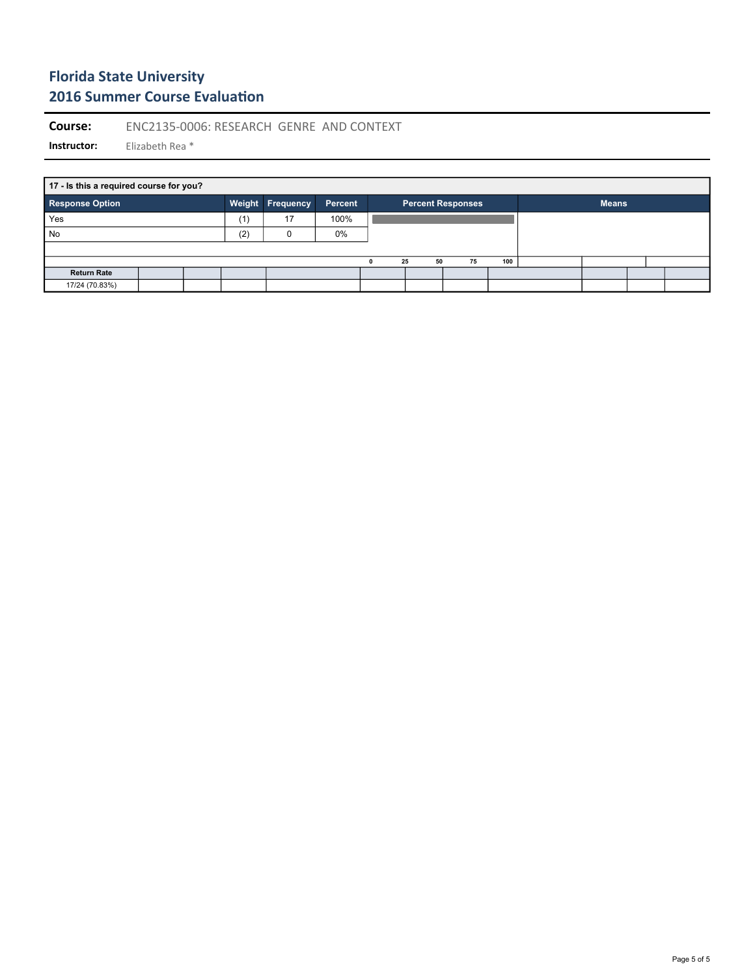**Course:** ENC2135-0006: RESEARCH GENRE AND CONTEXT

**Instructor:** Elizabeth Rea \*

**17 - Is this a required course for you? Response Option Weight Frequency Percent Percent Responses Means** П Yes (1) 17 100% No (2) 0 0% **0 25 50 75 100 Return Rate** 17/24 (70.83%)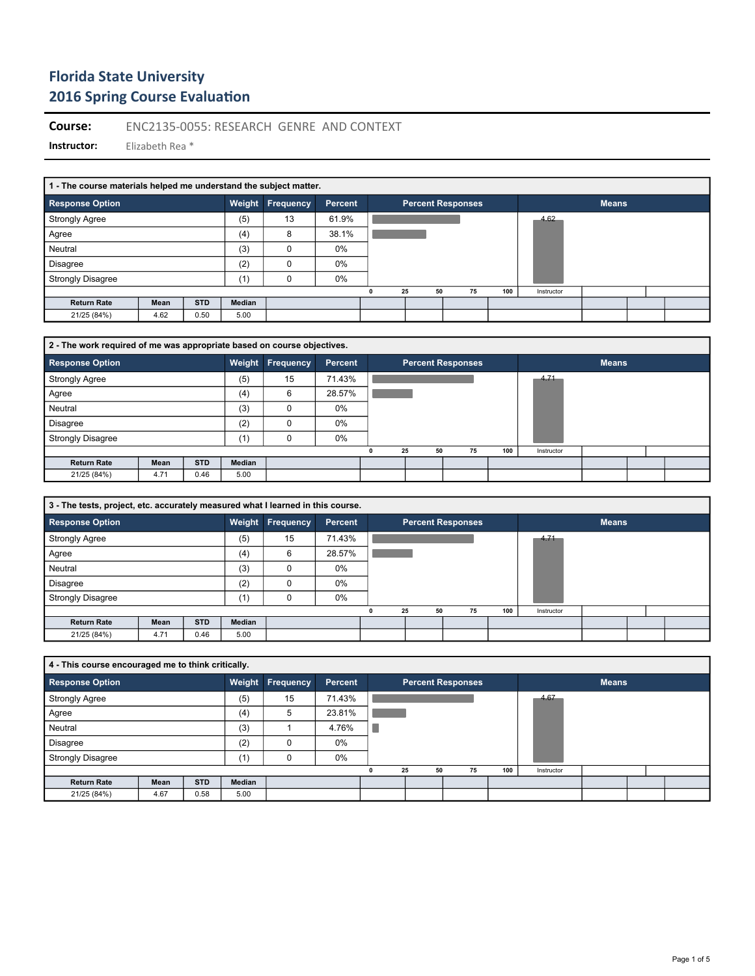**Course:** ENC2135-0055: RESEARCH GENRE AND CONTEXT

| 1 - The course materials helped me understand the subject matter. |      |            |        |           |         |                          |    |     |            |              |  |  |
|-------------------------------------------------------------------|------|------------|--------|-----------|---------|--------------------------|----|-----|------------|--------------|--|--|
| <b>Response Option</b>                                            |      |            | Weight | Frequency | Percent | <b>Percent Responses</b> |    |     |            | <b>Means</b> |  |  |
| <b>Strongly Agree</b>                                             |      |            | (5)    | 13        | 61.9%   |                          |    |     | 4.62       |              |  |  |
| Agree                                                             |      |            | (4)    | 8         | 38.1%   |                          |    |     |            |              |  |  |
| Neutral                                                           |      |            | (3)    | 0         | 0%      |                          |    |     |            |              |  |  |
| <b>Disagree</b>                                                   |      |            | (2)    | $\Omega$  | 0%      |                          |    |     |            |              |  |  |
| <b>Strongly Disagree</b>                                          |      |            | (1)    | 0         | $0\%$   |                          |    |     |            |              |  |  |
|                                                                   |      |            |        |           |         | 25<br>50                 | 75 | 100 | Instructor |              |  |  |
| <b>Return Rate</b>                                                | Mean | <b>STD</b> | Median |           |         |                          |    |     |            |              |  |  |
| 21/25 (84%)                                                       | 4.62 | 0.50       | 5.00   |           |         |                          |    |     |            |              |  |  |

| 2 - The work required of me was appropriate based on course objectives. |      |            |        |                  |                |          |                          |     |            |              |  |
|-------------------------------------------------------------------------|------|------------|--------|------------------|----------------|----------|--------------------------|-----|------------|--------------|--|
| <b>Response Option</b>                                                  |      |            |        | Weight Frequency | <b>Percent</b> |          | <b>Percent Responses</b> |     |            | <b>Means</b> |  |
| <b>Strongly Agree</b>                                                   |      |            | (5)    | 15               | 71.43%         |          |                          |     | 4.71       |              |  |
| Agree                                                                   |      |            | (4)    | 6                | 28.57%         |          |                          |     |            |              |  |
| Neutral                                                                 |      |            | (3)    | 0                | $0\%$          |          |                          |     |            |              |  |
| <b>Disagree</b>                                                         |      |            | (2)    |                  | $0\%$          |          |                          |     |            |              |  |
| <b>Strongly Disagree</b>                                                |      |            | (1)    |                  | 0%             |          |                          |     |            |              |  |
|                                                                         |      |            |        |                  |                | 25<br>50 | 75                       | 100 | Instructor |              |  |
| <b>Return Rate</b>                                                      | Mean | <b>STD</b> | Median |                  |                |          |                          |     |            |              |  |
| 21/25 (84%)                                                             | 4.71 | 0.46       | 5.00   |                  |                |          |                          |     |            |              |  |

| 3 - The tests, project, etc. accurately measured what I learned in this course. |      |            |        |                  |         |          |                          |     |            |              |  |
|---------------------------------------------------------------------------------|------|------------|--------|------------------|---------|----------|--------------------------|-----|------------|--------------|--|
| <b>Response Option</b>                                                          |      |            |        | Weight Frequency | Percent |          | <b>Percent Responses</b> |     |            | <b>Means</b> |  |
| <b>Strongly Agree</b>                                                           |      |            | (5)    | 15               | 71.43%  |          |                          |     | 4.71       |              |  |
| Agree                                                                           |      |            | (4)    | 6                | 28.57%  |          |                          |     |            |              |  |
| Neutral                                                                         |      |            | (3)    | $\Omega$         | 0%      |          |                          |     |            |              |  |
| <b>Disagree</b>                                                                 |      |            | (2)    | 0                | 0%      |          |                          |     |            |              |  |
| <b>Strongly Disagree</b>                                                        |      |            | (1)    | 0                | $0\%$   |          |                          |     |            |              |  |
|                                                                                 |      |            |        |                  |         | 25<br>50 | 75                       | 100 | Instructor |              |  |
| <b>Return Rate</b>                                                              | Mean | <b>STD</b> | Median |                  |         |          |                          |     |            |              |  |
| 21/25 (84%)                                                                     | 4.71 | 0.46       | 5.00   |                  |         |          |                          |     |            |              |  |

| 4 - This course encouraged me to think critically. |      |            |               |                  |         |    |    |                          |     |            |              |  |  |
|----------------------------------------------------|------|------------|---------------|------------------|---------|----|----|--------------------------|-----|------------|--------------|--|--|
| <b>Response Option</b>                             |      |            |               | Weight Frequency | Percent |    |    | <b>Percent Responses</b> |     |            | <b>Means</b> |  |  |
| <b>Strongly Agree</b>                              |      |            | (5)           | 15               | 71.43%  |    |    |                          |     | 4.67       |              |  |  |
| Agree                                              |      |            | (4)           | 5                | 23.81%  |    |    |                          |     |            |              |  |  |
| Neutral                                            |      |            | (3)           |                  | 4.76%   |    |    |                          |     |            |              |  |  |
| <b>Disagree</b>                                    |      |            | (2)           |                  | 0%      |    |    |                          |     |            |              |  |  |
| <b>Strongly Disagree</b>                           |      |            | (1)           | 0                | 0%      |    |    |                          |     |            |              |  |  |
|                                                    |      |            |               |                  |         | 25 | 50 | 75                       | 100 | Instructor |              |  |  |
| <b>Return Rate</b>                                 | Mean | <b>STD</b> | <b>Median</b> |                  |         |    |    |                          |     |            |              |  |  |
| 21/25 (84%)                                        | 4.67 | 0.58       | 5.00          |                  |         |    |    |                          |     |            |              |  |  |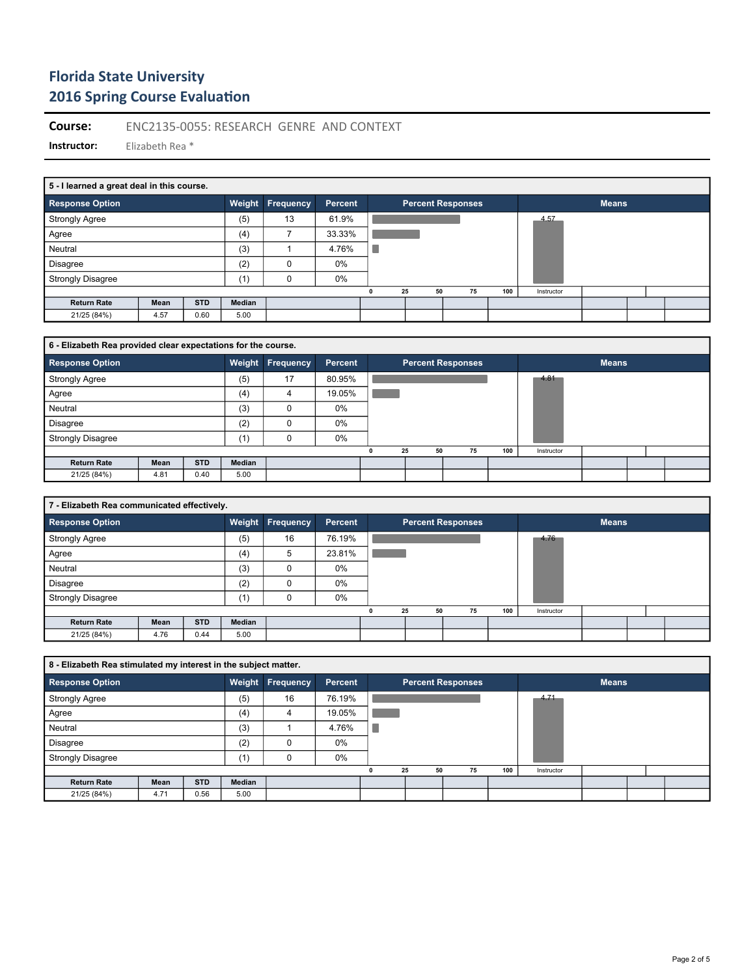**Course:** ENC2135-0055: RESEARCH GENRE AND CONTEXT

| 5 - I learned a great deal in this course. |      |            |        |                  |         |    |    |                          |     |            |              |  |
|--------------------------------------------|------|------------|--------|------------------|---------|----|----|--------------------------|-----|------------|--------------|--|
| <b>Response Option</b>                     |      |            | Weight | <b>Frequency</b> | Percent |    |    | <b>Percent Responses</b> |     |            | <b>Means</b> |  |
| <b>Strongly Agree</b>                      |      |            | (5)    | 13               | 61.9%   |    |    |                          |     | 4.57       |              |  |
| Agree                                      |      |            | (4)    |                  | 33.33%  |    |    |                          |     |            |              |  |
| Neutral                                    |      |            | (3)    |                  | 4.76%   |    |    |                          |     |            |              |  |
| <b>Disagree</b>                            |      |            | (2)    | 0                | 0%      |    |    |                          |     |            |              |  |
| <b>Strongly Disagree</b>                   |      |            | (1)    | $\Omega$         | 0%      |    |    |                          |     |            |              |  |
|                                            |      |            |        |                  |         | 25 | 50 | 75                       | 100 | Instructor |              |  |
| <b>Return Rate</b>                         | Mean | <b>STD</b> | Median |                  |         |    |    |                          |     |            |              |  |
| 21/25 (84%)                                | 4.57 | 0.60       | 5.00   |                  |         |    |    |                          |     |            |              |  |

| 6 - Elizabeth Rea provided clear expectations for the course. |      |            |        |                  |         |          |                          |     |            |              |  |
|---------------------------------------------------------------|------|------------|--------|------------------|---------|----------|--------------------------|-----|------------|--------------|--|
| <b>Response Option</b>                                        |      |            |        | Weight Frequency | Percent |          | <b>Percent Responses</b> |     |            | <b>Means</b> |  |
| <b>Strongly Agree</b>                                         |      |            | (5)    | 17               | 80.95%  |          |                          |     | 4.81       |              |  |
| Agree                                                         |      |            | (4)    | 4                | 19.05%  |          |                          |     |            |              |  |
| Neutral                                                       |      |            | (3)    |                  | 0%      |          |                          |     |            |              |  |
| <b>Disagree</b>                                               |      |            | (2)    | 0                | $0\%$   |          |                          |     |            |              |  |
| <b>Strongly Disagree</b>                                      |      |            | (1)    |                  | 0%      |          |                          |     |            |              |  |
|                                                               |      |            |        |                  |         | 25<br>50 | 75                       | 100 | Instructor |              |  |
| <b>Return Rate</b>                                            | Mean | <b>STD</b> | Median |                  |         |          |                          |     |            |              |  |
| 21/25 (84%)                                                   | 4.81 | 0.40       | 5.00   |                  |         |          |                          |     |            |              |  |

| 7 - Elizabeth Rea communicated effectively. |      |            |        |                         |         |          |                          |     |            |              |  |
|---------------------------------------------|------|------------|--------|-------------------------|---------|----------|--------------------------|-----|------------|--------------|--|
| <b>Response Option</b>                      |      |            |        | <b>Weight Frequency</b> | Percent |          | <b>Percent Responses</b> |     |            | <b>Means</b> |  |
| <b>Strongly Agree</b>                       |      |            | (5)    | 16                      | 76.19%  |          |                          |     | 4.76       |              |  |
| Agree                                       |      |            | (4)    | 5                       | 23.81%  |          |                          |     |            |              |  |
| Neutral                                     |      |            | (3)    | 0                       | 0%      |          |                          |     |            |              |  |
| <b>Disagree</b>                             |      |            | (2)    | 0                       | 0%      |          |                          |     |            |              |  |
| <b>Strongly Disagree</b>                    |      |            | (1)    | 0                       | 0%      |          |                          |     |            |              |  |
|                                             |      |            |        |                         |         | 25<br>50 | 75                       | 100 | Instructor |              |  |
| <b>Return Rate</b>                          | Mean | <b>STD</b> | Median |                         |         |          |                          |     |            |              |  |
| 21/25 (84%)                                 | 4.76 | 0.44       | 5.00   |                         |         |          |                          |     |            |              |  |

| 8 - Elizabeth Rea stimulated my interest in the subject matter. |      |            |        |                  |                |    |    |                          |     |            |              |  |  |
|-----------------------------------------------------------------|------|------------|--------|------------------|----------------|----|----|--------------------------|-----|------------|--------------|--|--|
| <b>Response Option</b>                                          |      |            |        | Weight Frequency | <b>Percent</b> |    |    | <b>Percent Responses</b> |     |            | <b>Means</b> |  |  |
| <b>Strongly Agree</b>                                           |      |            | (5)    | 16               | 76.19%         |    |    |                          |     | 4.71       |              |  |  |
| Agree                                                           |      |            | (4)    | 4                | 19.05%         |    |    |                          |     |            |              |  |  |
| Neutral                                                         |      |            | (3)    |                  | 4.76%          |    |    |                          |     |            |              |  |  |
| <b>Disagree</b>                                                 |      |            | (2)    |                  | 0%             |    |    |                          |     |            |              |  |  |
| <b>Strongly Disagree</b>                                        |      |            | (1)    |                  | 0%             |    |    |                          |     |            |              |  |  |
|                                                                 |      |            |        |                  |                | 25 | 50 | 75                       | 100 | Instructor |              |  |  |
| <b>Return Rate</b>                                              | Mean | <b>STD</b> | Median |                  |                |    |    |                          |     |            |              |  |  |
| 21/25 (84%)                                                     | 4.71 | 0.56       | 5.00   |                  |                |    |    |                          |     |            |              |  |  |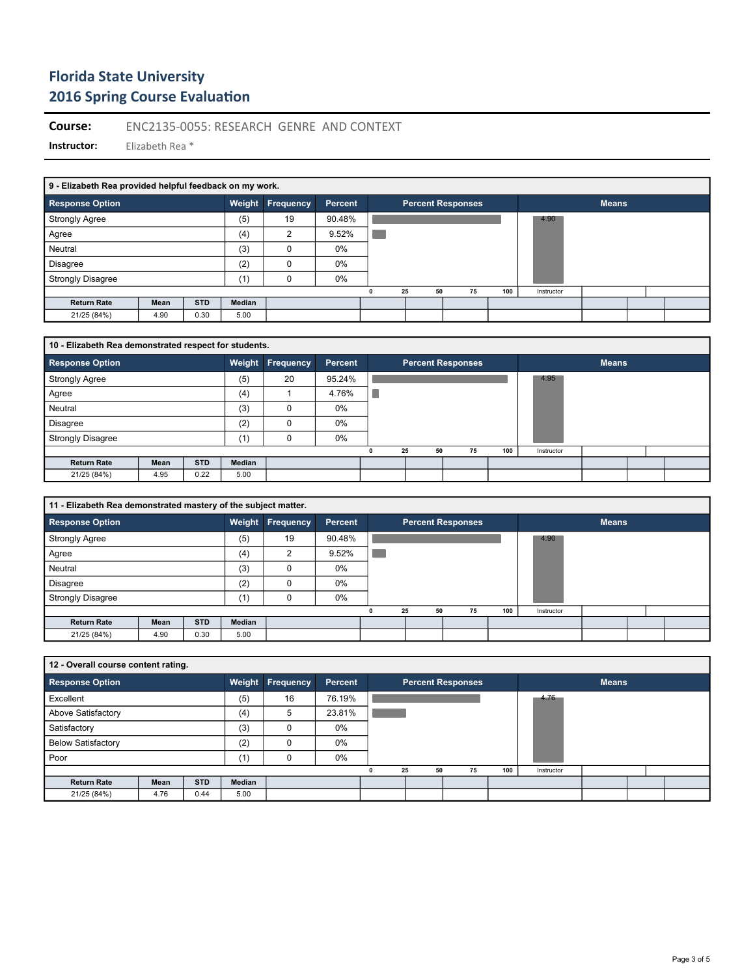**Course:** ENC2135-0055: RESEARCH GENRE AND CONTEXT

|                          | 9 - Elizabeth Rea provided helpful feedback on my work. |            |        |                |                |  |    |                          |     |              |  |  |  |  |
|--------------------------|---------------------------------------------------------|------------|--------|----------------|----------------|--|----|--------------------------|-----|--------------|--|--|--|--|
| <b>Response Option</b>   |                                                         |            | Weight | Frequency      | <b>Percent</b> |  |    | <b>Percent Responses</b> |     | <b>Means</b> |  |  |  |  |
| <b>Strongly Agree</b>    |                                                         |            | (5)    | 19             | 90.48%         |  |    |                          |     | 4.90         |  |  |  |  |
| Agree                    |                                                         |            | (4)    | $\overline{2}$ | 9.52%          |  |    |                          |     |              |  |  |  |  |
| Neutral                  |                                                         |            | (3)    | 0              | 0%             |  |    |                          |     |              |  |  |  |  |
| <b>Disagree</b>          |                                                         |            | (2)    | 0              | 0%             |  |    |                          |     |              |  |  |  |  |
| <b>Strongly Disagree</b> |                                                         |            | (1)    | $\Omega$       | $0\%$          |  |    |                          |     |              |  |  |  |  |
|                          |                                                         |            |        |                |                |  | 25 | 50<br>75                 | 100 | Instructor   |  |  |  |  |
| <b>Return Rate</b>       | Mean                                                    | <b>STD</b> | Median |                |                |  |    |                          |     |              |  |  |  |  |
| 21/25 (84%)              | 4.90                                                    | 0.30       | 5.00   |                |                |  |    |                          |     |              |  |  |  |  |

| 10 - Elizabeth Rea demonstrated respect for students. |      |            |               |                  |                |          |                          |     |            |              |  |  |  |
|-------------------------------------------------------|------|------------|---------------|------------------|----------------|----------|--------------------------|-----|------------|--------------|--|--|--|
| <b>Response Option</b>                                |      |            |               | Weight Frequency | <b>Percent</b> |          | <b>Percent Responses</b> |     |            | <b>Means</b> |  |  |  |
| <b>Strongly Agree</b>                                 |      |            | (5)           | 20               | 95.24%         |          |                          |     | 4.95       |              |  |  |  |
| Agree                                                 |      |            | (4)           |                  | 4.76%          |          |                          |     |            |              |  |  |  |
| Neutral                                               |      |            | (3)           | 0                | 0%             |          |                          |     |            |              |  |  |  |
| Disagree                                              |      |            | (2)           |                  | 0%             |          |                          |     |            |              |  |  |  |
| <b>Strongly Disagree</b>                              |      |            | (1)           |                  | 0%             |          |                          |     |            |              |  |  |  |
|                                                       |      |            |               |                  |                | 25<br>50 | 75                       | 100 | Instructor |              |  |  |  |
| <b>Return Rate</b>                                    | Mean | <b>STD</b> | <b>Median</b> |                  |                |          |                          |     |            |              |  |  |  |
| 21/25 (84%)                                           | 4.95 | 0.22       | 5.00          |                  |                |          |                          |     |            |              |  |  |  |

| 11 - Elizabeth Rea demonstrated mastery of the subject matter. |      |            |        |                  |         |   |                          |    |    |     |            |              |  |
|----------------------------------------------------------------|------|------------|--------|------------------|---------|---|--------------------------|----|----|-----|------------|--------------|--|
| <b>Response Option</b>                                         |      |            | Weight | <b>Frequency</b> | Percent |   | <b>Percent Responses</b> |    |    |     |            | <b>Means</b> |  |
| <b>Strongly Agree</b>                                          |      |            | (5)    | 19               | 90.48%  |   |                          |    |    |     | 4.90       |              |  |
| Agree                                                          |      |            | (4)    | c                | 9.52%   |   |                          |    |    |     |            |              |  |
| Neutral                                                        |      |            | (3)    |                  | 0%      |   |                          |    |    |     |            |              |  |
| <b>Disagree</b>                                                |      |            | (2)    | O                | 0%      |   |                          |    |    |     |            |              |  |
| <b>Strongly Disagree</b>                                       |      |            | (1)    |                  | 0%      |   |                          |    |    |     |            |              |  |
|                                                                |      |            |        |                  |         | 0 | 25                       | 50 | 75 | 100 | Instructor |              |  |
| <b>Return Rate</b>                                             | Mean | <b>STD</b> | Median |                  |         |   |                          |    |    |     |            |              |  |
| 21/25 (84%)                                                    | 4.90 | 0.30       | 5.00   |                  |         |   |                          |    |    |     |            |              |  |

| 12 - Overall course content rating. |      |            |        |           |                |   |    |                          |     |            |              |  |
|-------------------------------------|------|------------|--------|-----------|----------------|---|----|--------------------------|-----|------------|--------------|--|
| <b>Response Option</b>              |      |            | Weight | Frequency | <b>Percent</b> |   |    | <b>Percent Responses</b> |     |            | <b>Means</b> |  |
| Excellent                           |      |            | (5)    | 16        | 76.19%         |   |    |                          |     | 4.76       |              |  |
| Above Satisfactory                  |      |            | (4)    | 5         | 23.81%         |   |    |                          |     |            |              |  |
| Satisfactory                        |      |            | (3)    |           | 0%             |   |    |                          |     |            |              |  |
| <b>Below Satisfactory</b>           |      |            | (2)    |           | 0%             |   |    |                          |     |            |              |  |
| Poor                                |      |            | (1)    |           | 0%             |   |    |                          |     |            |              |  |
|                                     |      |            |        |           |                | 0 | 25 | 75<br>50                 | 100 | Instructor |              |  |
| <b>Return Rate</b>                  | Mean | <b>STD</b> | Median |           |                |   |    |                          |     |            |              |  |
| 21/25 (84%)                         | 4.76 | 0.44       | 5.00   |           |                |   |    |                          |     |            |              |  |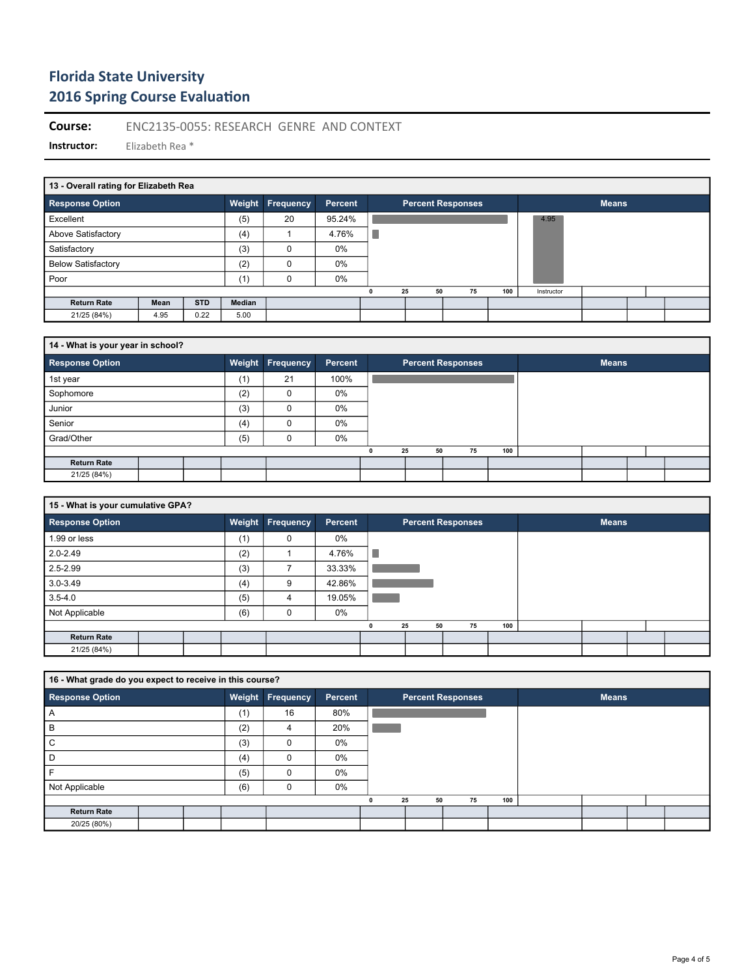**Course:** ENC2135-0055: RESEARCH GENRE AND CONTEXT

|                           | 13 - Overall rating for Elizabeth Rea |            |        |                         |                |  |                          |    |    |     |            |              |  |  |
|---------------------------|---------------------------------------|------------|--------|-------------------------|----------------|--|--------------------------|----|----|-----|------------|--------------|--|--|
| <b>Response Option</b>    |                                       |            |        | <b>Weight Frequency</b> | <b>Percent</b> |  | <b>Percent Responses</b> |    |    |     |            | <b>Means</b> |  |  |
| Excellent                 |                                       |            | (5)    | 20                      | 95.24%         |  |                          |    |    |     | 4.95       |              |  |  |
| Above Satisfactory        |                                       |            | (4)    |                         | 4.76%          |  |                          |    |    |     |            |              |  |  |
| Satisfactory              |                                       |            | (3)    | 0                       | $0\%$          |  |                          |    |    |     |            |              |  |  |
| <b>Below Satisfactory</b> |                                       |            | (2)    | 0                       | 0%             |  |                          |    |    |     |            |              |  |  |
| Poor                      |                                       |            | (1)    | 0                       | $0\%$          |  |                          |    |    |     |            |              |  |  |
|                           |                                       |            |        |                         |                |  | 25                       | 50 | 75 | 100 | Instructor |              |  |  |
| <b>Return Rate</b>        | Mean                                  | <b>STD</b> | Median |                         |                |  |                          |    |    |     |            |              |  |  |
| 21/25 (84%)               | 4.95                                  | 0.22       | 5.00   |                         |                |  |                          |    |    |     |            |              |  |  |

| 14 - What is your year in school? |  |  |     |                  |         |   |          |                          |     |              |  |
|-----------------------------------|--|--|-----|------------------|---------|---|----------|--------------------------|-----|--------------|--|
| <b>Response Option</b>            |  |  |     | Weight Frequency | Percent |   |          | <b>Percent Responses</b> |     | <b>Means</b> |  |
| 1st year                          |  |  | (1) | 21               | 100%    |   |          |                          |     |              |  |
| Sophomore                         |  |  | (2) | $\Omega$         | 0%      |   |          |                          |     |              |  |
| Junior                            |  |  | (3) | 0                | 0%      |   |          |                          |     |              |  |
| Senior                            |  |  | (4) | 0                | 0%      |   |          |                          |     |              |  |
| Grad/Other                        |  |  | (5) |                  | 0%      |   |          |                          |     |              |  |
|                                   |  |  |     |                  |         | n | 25<br>50 | 75                       | 100 |              |  |
| <b>Return Rate</b>                |  |  |     |                  |         |   |          |                          |     |              |  |
| 21/25 (84%)                       |  |  |     |                  |         |   |          |                          |     |              |  |

| 15 - What is your cumulative GPA? |        |           |                |    |          |                          |     |  |              |  |  |
|-----------------------------------|--------|-----------|----------------|----|----------|--------------------------|-----|--|--------------|--|--|
| <b>Response Option</b>            | Weight | Frequency | <b>Percent</b> |    |          | <b>Percent Responses</b> |     |  | <b>Means</b> |  |  |
| 1.99 or less                      | (1)    | 0         | 0%             |    |          |                          |     |  |              |  |  |
| 2.0-2.49                          | (2)    |           | 4.76%          | I. |          |                          |     |  |              |  |  |
| $2.5 - 2.99$                      | (3)    |           | 33.33%         |    |          |                          |     |  |              |  |  |
| $3.0 - 3.49$                      | (4)    | 9         | 42.86%         |    |          |                          |     |  |              |  |  |
| $3.5 - 4.0$                       | (5)    | 4         | 19.05%         |    |          |                          |     |  |              |  |  |
| Not Applicable                    | (6)    | C         | 0%             |    |          |                          |     |  |              |  |  |
|                                   |        |           |                | 0  | 25<br>50 | 75                       | 100 |  |              |  |  |
| <b>Return Rate</b>                |        |           |                |    |          |                          |     |  |              |  |  |
| 21/25 (84%)                       |        |           |                |    |          |                          |     |  |              |  |  |

| 16 - What grade do you expect to receive in this course? |  |     |                  |         |          |                          |     |              |  |
|----------------------------------------------------------|--|-----|------------------|---------|----------|--------------------------|-----|--------------|--|
| <b>Response Option</b>                                   |  |     | Weight Frequency | Percent |          | <b>Percent Responses</b> |     | <b>Means</b> |  |
| $\overline{A}$                                           |  | (1) | 16               | 80%     |          |                          |     |              |  |
| B                                                        |  | (2) | 4                | 20%     |          |                          |     |              |  |
| ⌒<br>◡                                                   |  | (3) | $\Omega$         | 0%      |          |                          |     |              |  |
| D                                                        |  | (4) | $\Omega$         | 0%      |          |                          |     |              |  |
|                                                          |  | (5) | $\Omega$         | 0%      |          |                          |     |              |  |
| Not Applicable                                           |  | (6) | 0                | 0%      |          |                          |     |              |  |
|                                                          |  |     |                  |         | 25<br>50 | 75                       | 100 |              |  |
| <b>Return Rate</b>                                       |  |     |                  |         |          |                          |     |              |  |
| 20/25 (80%)                                              |  |     |                  |         |          |                          |     |              |  |